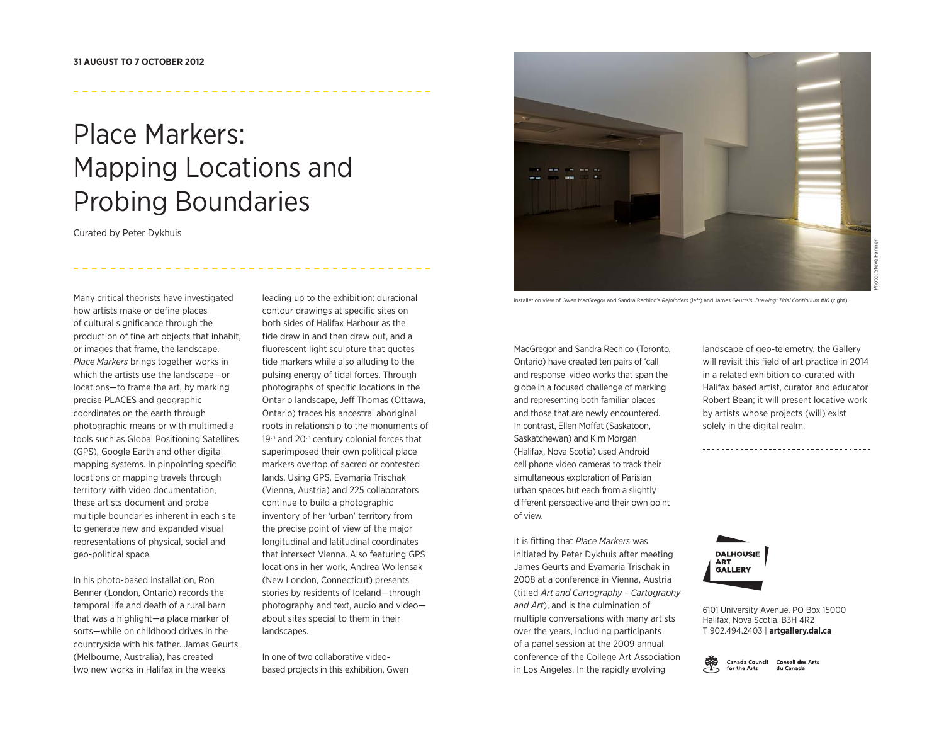# Place Markers: Mapping Locations and Probing Boundaries

Curated by Peter Dykhuis

Many critical theorists have investigated how artists make or define places of cultural significance through the production of fine art objects that inhabit, or images that frame, the landscape. *Place Markers* brings together works in which the artists use the landscape—or locations—to frame the art, by marking precise PLACES and geographic coordinates on the earth through photographic means or with multimedia tools such as Global Positioning Satellites (GPS), Google Earth and other digital mapping systems. In pinpointing specific locations or mapping travels through territory with video documentation, these artists document and probe multiple boundaries inherent in each site to generate new and expanded visual representations of physical, social and geo-political space.

In his photo-based installation, Ron Benner (London, Ontario) records the temporal life and death of a rural barn that was a highlight—a place marker of sorts—while on childhood drives in the countryside with his father. James Geurts (Melbourne, Australia), has created two new works in Halifax in the weeks

leading up to the exhibition: durational contour drawings at specific sites on both sides of Halifax Harbour as the tide drew in and then drew out, and a fluorescent light sculpture that quotes tide markers while also alluding to the pulsing energy of tidal forces. Through photographs of specific locations in the Ontario landscape, Jeff Thomas (Ottawa, Ontario) traces his ancestral aboriginal roots in relationship to the monuments of 19<sup>th</sup> and 20<sup>th</sup> century colonial forces that superimposed their own political place markers overtop of sacred or contested lands. Using GPS, Evamaria Trischak (Vienna, Austria) and 225 collaborators continue to build a photographic inventory of her 'urban' territory from the precise point of view of the major longitudinal and latitudinal coordinates that intersect Vienna. Also featuring GPS locations in her work, Andrea Wollensak (New London, Connecticut) presents stories by residents of Iceland—through photography and text, audio and video about sites special to them in their landscapes.

In one of two collaborative videobased projects in this exhibition, Gwen



installation view of Gwen MacGregor and Sandra Rechico's *Rejoinders* (left) and James Geurts's *Drawing: Tidal Continuum #10* (right)

MacGregor and Sandra Rechico (Toronto, Ontario) have created ten pairs of 'call and response' video works that span the globe in a focused challenge of marking and representing both familiar places and those that are newly encountered. In contrast, Ellen Moffat (Saskatoon, Saskatchewan) and Kim Morgan (Halifax, Nova Scotia) used Android cell phone video cameras to track their simultaneous exploration of Parisian urban spaces but each from a slightly different perspective and their own point of view.

It is fitting that *Place Markers* was initiated by Peter Dykhuis after meeting James Geurts and Evamaria Trischak in 2008 at a conference in Vienna, Austria (titled *Art and Cartography – Cartography and Art*), and is the culmination of multiple conversations with many artists over the years, including participants of a panel session at the 2009 annual conference of the College Art Association in Los Angeles. In the rapidly evolving

landscape of geo-telemetry, the Gallery will revisit this field of art practice in 2014 in a related exhibition co-curated with Halifax based artist, curator and educator Robert Bean; it will present locative work by artists whose projects (will) exist solely in the digital realm.



6101 University Avenue, PO Box 15000 Halifax, Nova Scotia, B3H 4R2 T 902.494.2403 | **artgallery.dal.ca**

Canada Council Conseil des Arts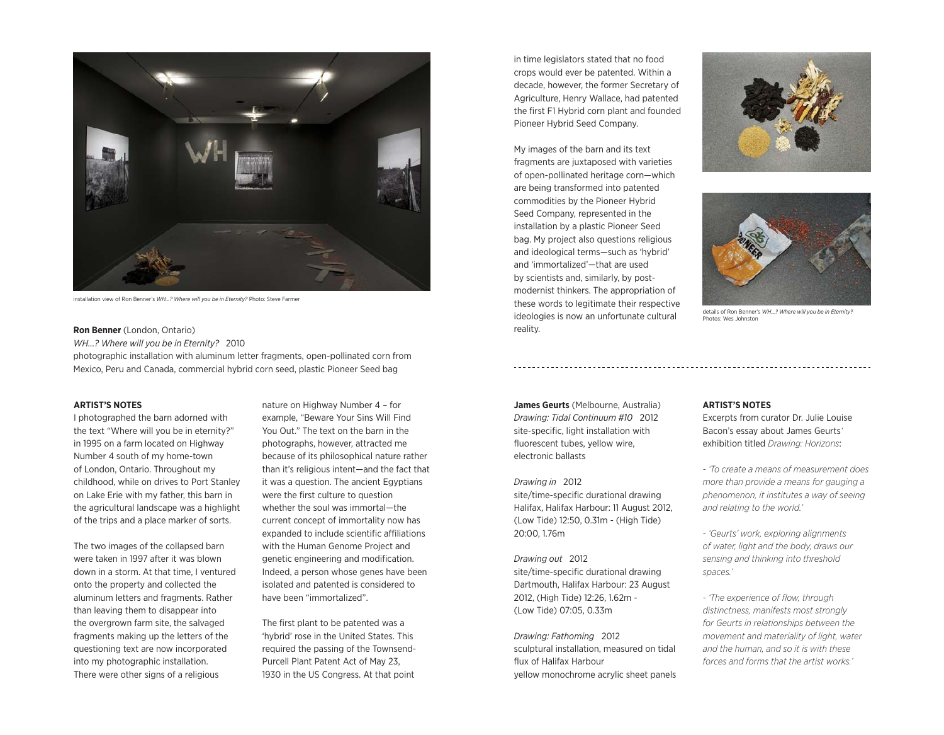

installation view of Ron Benner's *WH...? Where will you be in Eternity?* Photo: Steve Farmer

**Ron Benner** (London, Ontario)

*WH...? Where will you be in Eternity?* 2010 photographic installation with aluminum letter fragments, open-pollinated corn from Mexico, Peru and Canada, commercial hybrid corn seed, plastic Pioneer Seed bag

## **ARTIST'S NOTES**

I photographed the barn adorned with the text "Where will you be in eternity?" in 1995 on a farm located on Highway Number 4 south of my home-town of London, Ontario. Throughout my childhood, while on drives to Port Stanley on Lake Erie with my father, this barn in the agricultural landscape was a highlight of the trips and a place marker of sorts.

The two images of the collapsed barn were taken in 1997 after it was blown down in a storm. At that time, I ventured onto the property and collected the aluminum letters and fragments. Rather than leaving them to disappear into the overgrown farm site, the salvaged fragments making up the letters of the questioning text are now incorporated into my photographic installation. There were other signs of a religious

nature on Highway Number 4 – for example, "Beware Your Sins Will Find You Out." The text on the barn in the photographs, however, attracted me because of its philosophical nature rather than it's religious intent—and the fact that it was a question. The ancient Egyptians were the first culture to question whether the soul was immortal—the current concept of immortality now has expanded to include scientific affiliations with the Human Genome Project and genetic engineering and modification. Indeed, a person whose genes have been isolated and patented is considered to have been "immortalized".

The first plant to be patented was a 'hybrid' rose in the United States. This required the passing of the Townsend-Purcell Plant Patent Act of May 23, 1930 in the US Congress. At that point in time legislators stated that no food crops would ever be patented. Within a decade, however, the former Secretary of Agriculture, Henry Wallace, had patented the first F1 Hybrid corn plant and founded Pioneer Hybrid Seed Company.

My images of the barn and its text fragments are juxtaposed with varieties of open-pollinated heritage corn—which are being transformed into patented commodities by the Pioneer Hybrid Seed Company, represented in the installation by a plastic Pioneer Seed bag. My project also questions religious and ideological terms—such as 'hybrid' and 'immortalized'—that are used by scientists and, similarly, by postmodernist thinkers. The appropriation of these words to legitimate their respective ideologies is now an unfortunate cultural reality.





details of Ron Benner's *WH...? Where will you be in Eternity?* Photos: Wes Johnston

**James Geurts** (Melbourne, Australia) *Drawing: Tidal Continuum #10* 2012 site-specific, light installation with fluorescent tubes, yellow wire, electronic ballasts

*Drawing in* 2012 site/time-specific durational drawing Halifax, Halifax Harbour: 11 August 2012, (Low Tide) 12:50, 0.31m - (High Tide) 20:00, 1.76m

*Drawing out* 2012 site/time-specific durational drawing Dartmouth, Halifax Harbour: 23 August 2012, (High Tide) 12:26, 1.62m - (Low Tide) 07:05, 0.33m

*Drawing: Fathoming* 2012 sculptural installation, measured on tidal flux of Halifax Harbour yellow monochrome acrylic sheet panels

# **ARTIST'S NOTES**

Excerpts from curator Dr. Julie Louise Bacon's essay about James Geurts*'*  exhibition titled *Drawing: Horizons*:

*- 'To create a means of measurement does more than provide a means for gauging a phenomenon, it institutes a way of seeing and relating to the world.'*

*- 'Geurts' work, exploring alignments of water, light and the body, draws our sensing and thinking into threshold spaces.'*

*- 'The experience of flow, through distinctness, manifests most strongly for Geurts in relationships between the movement and materiality of light, water and the human, and so it is with these forces and forms that the artist works.'*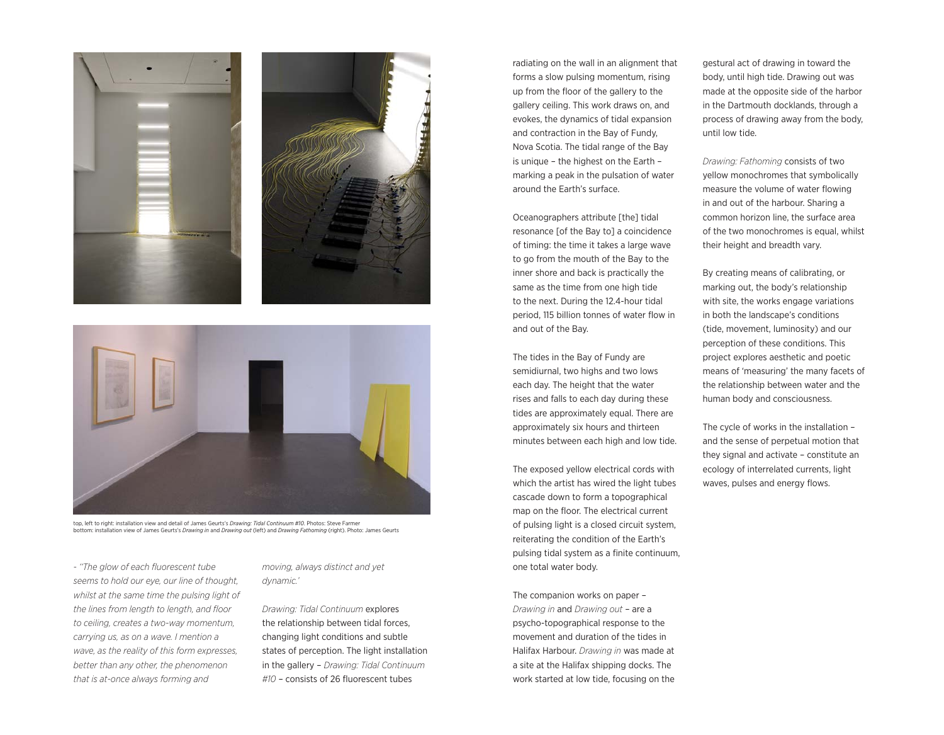

top, left to right: installation view and detail of James Geurts's *Drawing: Tidal Continuum #10*. Photos: Steve Farmer bottom: installation view of James Geurts's *Drawing in* and *Drawing out* (left) and *Drawing Fathoming* (right). Photo: James Geurts

*- ''The glow of each fluorescent tube seems to hold our eye, our line of thought, whilst at the same time the pulsing light of the lines from length to length, and floor to ceiling, creates a two-way momentum, carrying us, as on a wave. I mention a wave, as the reality of this form expresses, better than any other, the phenomenon that is at-once always forming and* 

*moving, always distinct and yet dynamic.'* 

*Drawing: Tidal Continuum* explores the relationship between tidal forces, changing light conditions and subtle states of perception. The light installation in the gallery – *Drawing: Tidal Continuum #10* – consists of 26 fluorescent tubes

radiating on the wall in an alignment that forms a slow pulsing momentum, rising up from the floor of the gallery to the gallery ceiling. This work draws on, and evokes, the dynamics of tidal expansion and contraction in the Bay of Fundy, Nova Scotia. The tidal range of the Bay is unique – the highest on the Earth – marking a peak in the pulsation of water around the Earth's surface.

Oceanographers attribute [the] tidal resonance [of the Bay to] a coincidence of timing: the time it takes a large wave to go from the mouth of the Bay to the inner shore and back is practically the same as the time from one high tide to the next. During the 12.4-hour tidal period, 115 billion tonnes of water flow in and out of the Bay.

The tides in the Bay of Fundy are semidiurnal, two highs and two lows each day. The height that the water rises and falls to each day during these tides are approximately equal. There are approximately six hours and thirteen minutes between each high and low tide.

The exposed yellow electrical cords with which the artist has wired the light tubes cascade down to form a topographical map on the floor. The electrical current of pulsing light is a closed circuit system, reiterating the condition of the Earth's pulsing tidal system as a finite continuum, one total water body.

The companion works on paper – *Drawing in* and *Drawing out* – are a psycho-topographical response to the movement and duration of the tides in Halifax Harbour. *Drawing in* was made at a site at the Halifax shipping docks. The work started at low tide, focusing on the

gestural act of drawing in toward the body, until high tide. Drawing out was made at the opposite side of the harbor in the Dartmouth docklands, through a process of drawing away from the body, until low tide.

*Drawing: Fathoming* consists of two yellow monochromes that symbolically measure the volume of water flowing in and out of the harbour. Sharing a common horizon line, the surface area of the two monochromes is equal, whilst their height and breadth vary.

By creating means of calibrating, or marking out, the body's relationship with site, the works engage variations in both the landscape's conditions (tide, movement, luminosity) and our perception of these conditions. This project explores aesthetic and poetic means of 'measuring' the many facets of the relationship between water and the human body and consciousness.

The cycle of works in the installation – and the sense of perpetual motion that they signal and activate – constitute an ecology of interrelated currents, light waves, pulses and energy flows.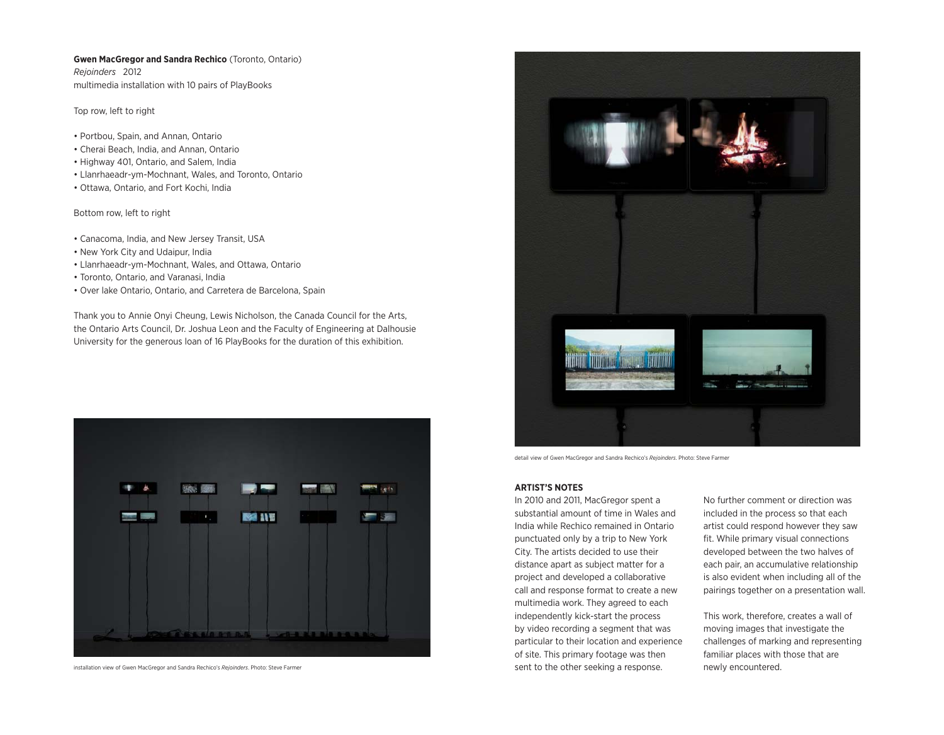# **Gwen MacGregor and Sandra Rechico** (Toronto, Ontario)

*Rejoinders* 2012 multimedia installation with 10 pairs of PlayBooks

Top row, left to right

- Portbou, Spain, and Annan, Ontario
- Cherai Beach, India, and Annan, Ontario
- Highway 401, Ontario, and Salem, India
- Llanrhaeadr-ym-Mochnant, Wales, and Toronto, Ontario
- Ottawa, Ontario, and Fort Kochi, India

Bottom row, left to right

- Canacoma, India, and New Jersey Transit, USA
- New York City and Udaipur, India
- Llanrhaeadr-ym-Mochnant, Wales, and Ottawa, Ontario
- Toronto, Ontario, and Varanasi, India
- Over lake Ontario, Ontario, and Carretera de Barcelona, Spain

Thank you to Annie Onyi Cheung, Lewis Nicholson, the Canada Council for the Arts, the Ontario Arts Council, Dr. Joshua Leon and the Faculty of Engineering at Dalhousie University for the generous loan of 16 PlayBooks for the duration of this exhibition.



installation view of Gwen MacGregor and Sandra Rechico's *Rejoinders*. Photo: Steve Farmer



detail view of Gwen MacGregor and Sandra Rechico's *Rejoinders*. Photo: Steve Farmer

# **ARTIST'S NOTES**

In 2010 and 2011, MacGregor spent a substantial amount of time in Wales and India while Rechico remained in Ontario punctuated only by a trip to New York City. The artists decided to use their distance apart as subject matter for a project and developed a collaborative call and response format to create a new multimedia work. They agreed to each independently kick-start the process by video recording a segment that was particular to their location and experience of site. This primary footage was then sent to the other seeking a response.

No further comment or direction was included in the process so that each artist could respond however they saw fit. While primary visual connections developed between the two halves of each pair, an accumulative relationship is also evident when including all of the pairings together on a presentation wall.

This work, therefore, creates a wall of moving images that investigate the challenges of marking and representing familiar places with those that are newly encountered.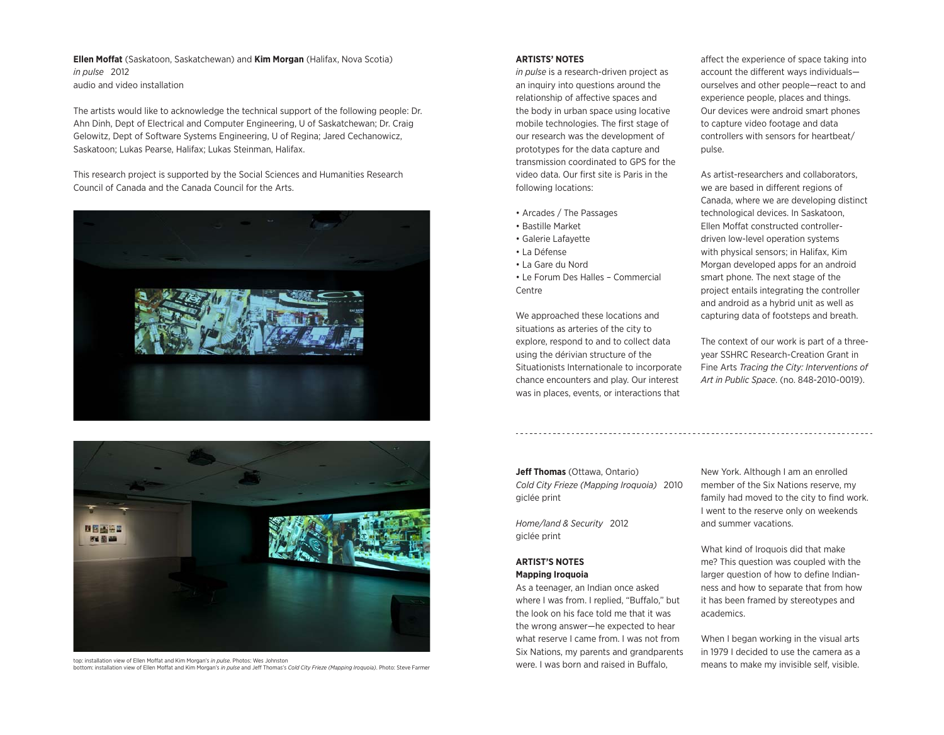**Ellen Moffat** (Saskatoon, Saskatchewan) and **Kim Morgan** (Halifax, Nova Scotia) *in pulse* 2012 audio and video installation

The artists would like to acknowledge the technical support of the following people: Dr. Ahn Dinh, Dept of Electrical and Computer Engineering, U of Saskatchewan; Dr. Craig Gelowitz, Dept of Software Systems Engineering, U of Regina; Jared Cechanowicz, Saskatoon; Lukas Pearse, Halifax; Lukas Steinman, Halifax.

This research project is supported by the Social Sciences and Humanities Research Council of Canada and the Canada Council for the Arts.





top: installation view of Ellen Moffat and Kim Morgan's *in pulse*. Photos: Wes Johnston bottom: installation view of Ellen Moffat and Kim Morgan's *in pulse* and Jeff Thomas's *Cold City Frieze (Mapping Iroquoia)*. Photo: Steve Farmer

## **ARTISTS' NOTES**

*in pulse* is a research-driven project as an inquiry into questions around the relationship of affective spaces and the body in urban space using locative mobile technologies. The first stage of our research was the development of prototypes for the data capture and transmission coordinated to GPS for the video data. Our first site is Paris in the following locations:

- Arcades / The Passages
- Bastille Market
- Galerie Lafayette
- La Défense
- La Gare du Nord
- Le Forum Des Halles Commercial Centre

We approached these locations and situations as arteries of the city to explore, respond to and to collect data using the dérivian structure of the Situationists Internationale to incorporate chance encounters and play. Our interest was in places, events, or interactions that

affect the experience of space taking into account the different ways individuals ourselves and other people—react to and experience people, places and things. Our devices were android smart phones to capture video footage and data controllers with sensors for heartbeat/ pulse.

As artist-researchers and collaborators, we are based in different regions of Canada, where we are developing distinct technological devices. In Saskatoon, Ellen Moffat constructed controllerdriven low-level operation systems with physical sensors; in Halifax, Kim Morgan developed apps for an android smart phone. The next stage of the project entails integrating the controller and android as a hybrid unit as well as capturing data of footsteps and breath.

The context of our work is part of a threeyear SSHRC Research-Creation Grant in Fine Arts *Tracing the City: Interventions of Art in Public Space*. (no. 848-2010-0019).

**Jeff Thomas** (Ottawa, Ontario) *Cold City Frieze (Mapping Iroquoia)* 2010 giclée print

*Home/land & Security* 2012 giclée print

# **ARTIST'S NOTES Mapping Iroquoia**

As a teenager, an Indian once asked where I was from. I replied, "Buffalo," but the look on his face told me that it was the wrong answer—he expected to hear what reserve I came from. I was not from Six Nations, my parents and grandparents were. I was born and raised in Buffalo,

New York. Although I am an enrolled member of the Six Nations reserve, my family had moved to the city to find work. I went to the reserve only on weekends and summer vacations.

What kind of Iroquois did that make me? This question was coupled with the larger question of how to define Indianness and how to separate that from how it has been framed by stereotypes and academics.

When I began working in the visual arts in 1979 I decided to use the camera as a means to make my invisible self, visible.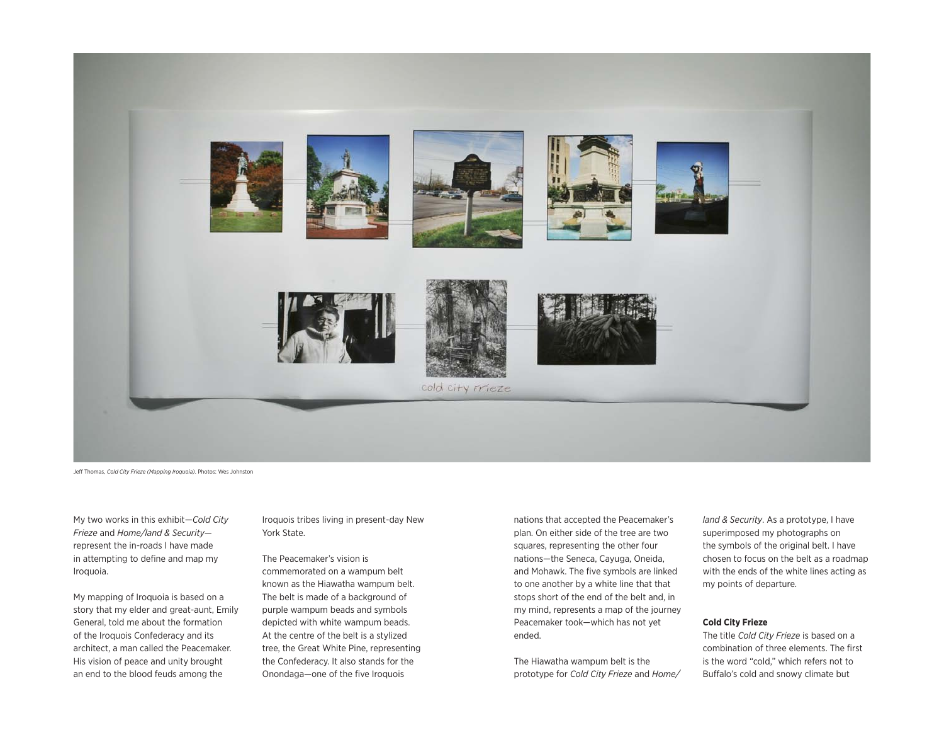

Jeff Thomas, *Cold City Frieze (Mapping Iroquoia)*. Photos: Wes Johnston

My two works in this exhibit—*Cold City Frieze* and *Home/land & Security* represent the in-roads I have made in attempting to define and map my Iroquoia.

My mapping of Iroquoia is based on a story that my elder and great-aunt, Emily General, told me about the formation of the Iroquois Confederacy and its architect, a man called the Peacemaker. His vision of peace and unity brought an end to the blood feuds among the

Iroquois tribes living in present-day New York State.

The Peacemaker's vision is commemorated on a wampum belt known as the Hiawatha wampum belt. The belt is made of a background of purple wampum beads and symbols depicted with white wampum beads. At the centre of the belt is a stylized tree, the Great White Pine, representing the Confederacy. It also stands for the Onondaga—one of the five Iroquois

nations that accepted the Peacemaker's plan. On either side of the tree are two squares, representing the other four nations—the Seneca, Cayuga, Oneida, and Mohawk. The five symbols are linked to one another by a white line that that stops short of the end of the belt and, in my mind, represents a map of the journey Peacemaker took—which has not yet ended.

The Hiawatha wampum belt is the prototype for *Cold City Frieze* and *Home/* *land & Security*. As a prototype, I have superimposed my photographs on the symbols of the original belt. I have chosen to focus on the belt as a roadmap with the ends of the white lines acting as my points of departure.

# **Cold City Frieze**

The title *Cold City Frieze* is based on a combination of three elements. The first is the word "cold," which refers not to Buffalo's cold and snowy climate but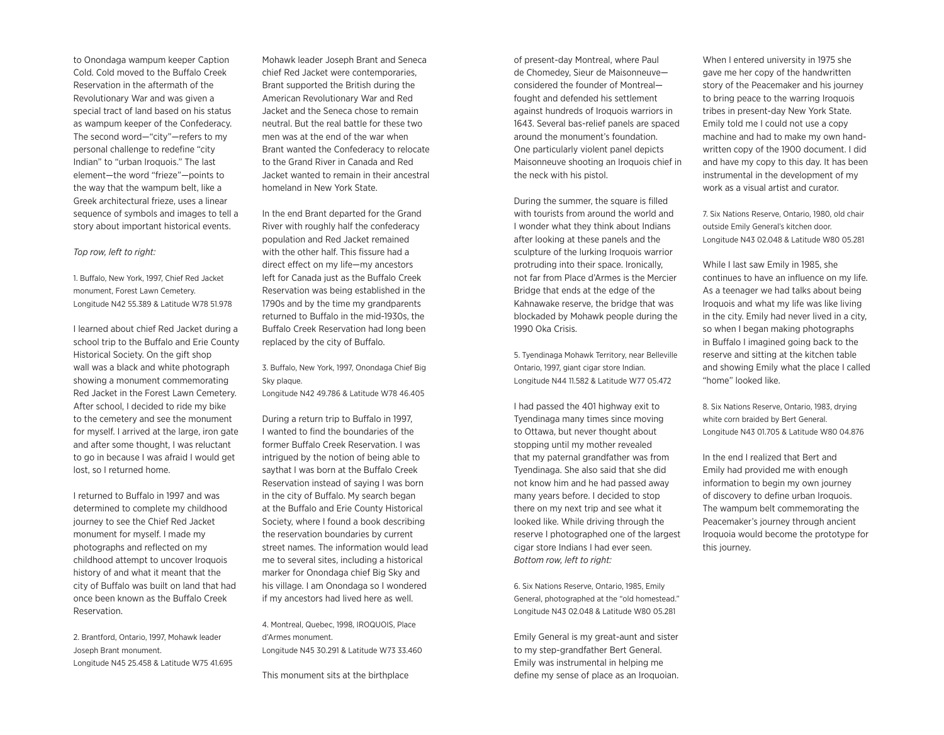to Onondaga wampum keeper Caption Cold. Cold moved to the Buffalo Creek Reservation in the aftermath of the Revolutionary War and was given a special tract of land based on his status as wampum keeper of the Confederacy. The second word—"city"—refers to my personal challenge to redefine "city Indian" to "urban Iroquois." The last element—the word "frieze"—points to the way that the wampum belt, like a Greek architectural frieze, uses a linear sequence of symbols and images to tell a story about important historical events.

#### *Top row, left to right:*

1. Buffalo, New York, 1997, Chief Red Jacket monument, Forest Lawn Cemetery. Longitude N42 55.389 & Latitude W78 51.978

I learned about chief Red Jacket during a school trip to the Buffalo and Erie County Historical Society. On the gift shop wall was a black and white photograph showing a monument commemorating Red Jacket in the Forest Lawn Cemetery. After school, I decided to ride my bike to the cemetery and see the monument for myself. I arrived at the large, iron gate and after some thought, I was reluctant to go in because I was afraid I would get lost, so I returned home.

I returned to Buffalo in 1997 and was determined to complete my childhood journey to see the Chief Red Jacket monument for myself. I made my photographs and reflected on my childhood attempt to uncover Iroquois history of and what it meant that the city of Buffalo was built on land that had once been known as the Buffalo Creek Reservation.

2. Brantford, Ontario, 1997, Mohawk leader Joseph Brant monument. Longitude N45 25.458 & Latitude W75 41.695 Mohawk leader Joseph Brant and Seneca chief Red Jacket were contemporaries, Brant supported the British during the American Revolutionary War and Red Jacket and the Seneca chose to remain neutral. But the real battle for these two men was at the end of the war when Brant wanted the Confederacy to relocate to the Grand River in Canada and Red Jacket wanted to remain in their ancestral homeland in New York State.

In the end Brant departed for the Grand River with roughly half the confederacy population and Red Jacket remained with the other half. This fissure had a direct effect on my life—my ancestors left for Canada just as the Buffalo Creek Reservation was being established in the 1790s and by the time my grandparents returned to Buffalo in the mid-1930s, the Buffalo Creek Reservation had long been replaced by the city of Buffalo.

3. Buffalo, New York, 1997, Onondaga Chief Big Sky plaque. Longitude N42 49.786 & Latitude W78 46.405

During a return trip to Buffalo in 1997, I wanted to find the boundaries of the former Buffalo Creek Reservation. I was intrigued by the notion of being able to saythat I was born at the Buffalo Creek Reservation instead of saying I was born in the city of Buffalo. My search began at the Buffalo and Erie County Historical Society, where I found a book describing the reservation boundaries by current street names. The information would lead me to several sites, including a historical marker for Onondaga chief Big Sky and his village. I am Onondaga so I wondered if my ancestors had lived here as well.

4. Montreal, Quebec, 1998, IROQUOIS, Place d'Armes monument. Longitude N45 30.291 & Latitude W73 33.460

This monument sits at the birthplace

of present-day Montreal, where Paul de Chomedey, Sieur de Maisonneuve considered the founder of Montreal fought and defended his settlement against hundreds of Iroquois warriors in 1643. Several bas-relief panels are spaced around the monument's foundation. One particularly violent panel depicts Maisonneuve shooting an Iroquois chief in the neck with his pistol.

During the summer, the square is filled with tourists from around the world and I wonder what they think about Indians after looking at these panels and the sculpture of the lurking Iroquois warrior protruding into their space. Ironically, not far from Place d'Armes is the Mercier Bridge that ends at the edge of the Kahnawake reserve, the bridge that was blockaded by Mohawk people during the 1990 Oka Crisis.

5. Tyendinaga Mohawk Territory, near Belleville Ontario, 1997, giant cigar store Indian. Longitude N44 11.582 & Latitude W77 05.472

I had passed the 401 highway exit to Tyendinaga many times since moving to Ottawa, but never thought about stopping until my mother revealed that my paternal grandfather was from Tyendinaga. She also said that she did not know him and he had passed away many years before. I decided to stop there on my next trip and see what it looked like. While driving through the reserve I photographed one of the largest cigar store Indians I had ever seen. *Bottom row, left to right:*

6. Six Nations Reserve, Ontario, 1985, Emily General, photographed at the "old homestead." Longitude N43 02.048 & Latitude W80 05.281

Emily General is my great-aunt and sister to my step-grandfather Bert General. Emily was instrumental in helping me define my sense of place as an Iroquoian.

When I entered university in 1975 she gave me her copy of the handwritten story of the Peacemaker and his journey to bring peace to the warring Iroquois tribes in present-day New York State. Emily told me I could not use a copy machine and had to make my own handwritten copy of the 1900 document. I did and have my copy to this day. It has been instrumental in the development of my work as a visual artist and curator.

7. Six Nations Reserve, Ontario, 1980, old chair outside Emily General's kitchen door. Longitude N43 02.048 & Latitude W80 05.281

While I last saw Emily in 1985, she continues to have an influence on my life. As a teenager we had talks about being Iroquois and what my life was like living in the city. Emily had never lived in a city, so when I began making photographs in Buffalo I imagined going back to the reserve and sitting at the kitchen table and showing Emily what the place I called "home" looked like.

8. Six Nations Reserve, Ontario, 1983, drying white corn braided by Bert General. Longitude N43 01.705 & Latitude W80 04.876

In the end I realized that Bert and Emily had provided me with enough information to begin my own journey of discovery to define urban Iroquois. The wampum belt commemorating the Peacemaker's journey through ancient Iroquoia would become the prototype for this journey.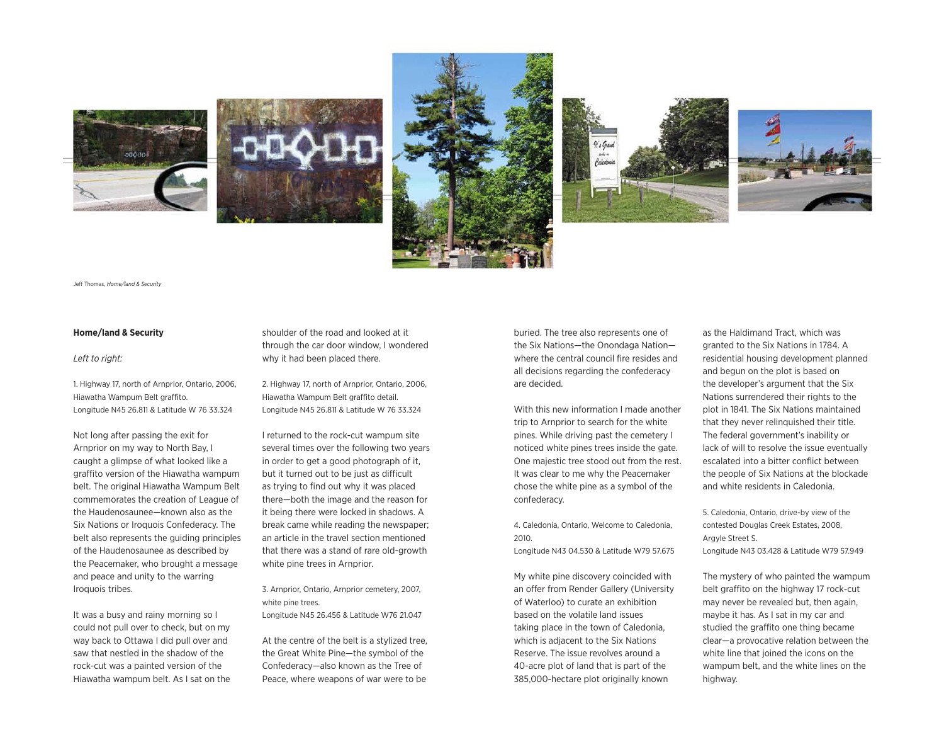









Jeff Thomas, *Home/land & Security*

#### **Home/land & Security**

#### *Left to right:*

1. Highway 17, north of Arnprior, Ontario, 2006, Hiawatha Wampum Belt graffito. Longitude N45 26.811 & Latitude W 76 33.324

Not long after passing the exit for Arnprior on my way to North Bay, I caught a glimpse of what looked like a graffito version of the Hiawatha wampum belt. The original Hiawatha Wampum Belt commemorates the creation of League of the Haudenosaunee—known also as the Six Nations or Iroquois Confederacy. The belt also represents the guiding principles of the Haudenosaunee as described by the Peacemaker, who brought a message and peace and unity to the warring Iroquois tribes.

It was a busy and rainy morning so I could not pull over to check, but on my way back to Ottawa I did pull over and saw that nestled in the shadow of the rock-cut was a painted version of the Hiawatha wampum belt. As I sat on the shoulder of the road and looked at it through the car door window, I wondered why it had been placed there.

2. Highway 17, north of Arnprior, Ontario, 2006, Hiawatha Wampum Belt graffito detail. Longitude N45 26.811 & Latitude W 76 33.324

I returned to the rock-cut wampum site several times over the following two years in order to get a good photograph of it, but it turned out to be just as difficult as trying to find out why it was placed there—both the image and the reason for it being there were locked in shadows. A break came while reading the newspaper; an article in the travel section mentioned that there was a stand of rare old-growth white pine trees in Arnprior.

3. Arnprior, Ontario, Arnprior cemetery, 2007, white pine trees.

Longitude N45 26.456 & Latitude W76 21.047

At the centre of the belt is a stylized tree, the Great White Pine—the symbol of the Confederacy—also known as the Tree of Peace, where weapons of war were to be buried. The tree also represents one of the Six Nations—the Onondaga Nation where the central council fire resides and all decisions regarding the confederacy are decided.

With this new information I made another trip to Arnprior to search for the white pines. While driving past the cemetery I noticed white pines trees inside the gate. One majestic tree stood out from the rest. It was clear to me why the Peacemaker chose the white pine as a symbol of the confederacy.

4. Caledonia, Ontario, Welcome to Caledonia, 2010.

Longitude N43 04.530 & Latitude W79 57.675

My white pine discovery coincided with an offer from Render Gallery (University of Waterloo) to curate an exhibition based on the volatile land issues taking place in the town of Caledonia, which is adjacent to the Six Nations Reserve. The issue revolves around a 40-acre plot of land that is part of the 385,000-hectare plot originally known

as the Haldimand Tract, which was granted to the Six Nations in 1784. A residential housing development planned and begun on the plot is based on the developer's argument that the Six Nations surrendered their rights to the plot in 1841. The Six Nations maintained that they never relinquished their title. The federal government's inability or lack of will to resolve the issue eventually escalated into a bitter conflict between the people of Six Nations at the blockade and white residents in Caledonia.

5. Caledonia, Ontario, drive-by view of the contested Douglas Creek Estates, 2008, Argyle Street S. Longitude N43 03.428 & Latitude W79 57.949

The mystery of who painted the wampum belt graffito on the highway 17 rock-cut may never be revealed but, then again, maybe it has. As I sat in my car and studied the graffito one thing became clear—a provocative relation between the white line that joined the icons on the wampum belt, and the white lines on the highway.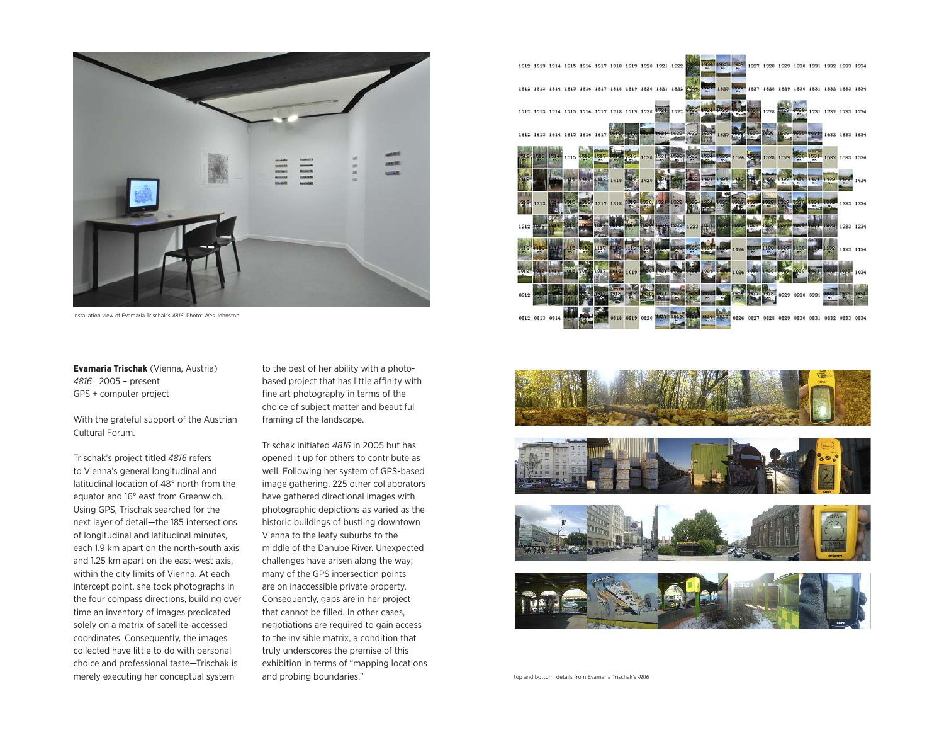

installation view of Evamaria Trischak's *4816*. Photo: Wes Johnston

**Evamaria Trischak** (Vienna, Austria) *4816* 2005 – present GPS + computer project

With the grateful support of the Austrian Cultural Forum.

Trischak's project titled *4816* refers to Vienna's general longitudinal and latitudinal location of 48° north from the equator and 16° east from Greenwich. Using GPS, Trischak searched for the next layer of detail—the 185 intersections of longitudinal and latitudinal minutes, each 1.9 km apart on the north-south axis and 1.25 km apart on the east-west axis, within the city limits of Vienna. At each intercept point, she took photographs in the four compass directions, building over time an inventory of images predicated solely on a matrix of satellite-accessed coordinates. Consequently, the images collected have little to do with personal choice and professional taste—Trischak is merely executing her conceptual system

to the best of her ability with a photobased project that has little affinity with fine art photography in terms of the choice of subject matter and beautiful framing of the landscape.

Trischak initiated *4816* in 2005 but has opened it up for others to contribute as well. Following her system of GPS-based image gathering, 225 other collaborators have gathered directional images with photographic depictions as varied as the historic buildings of bustling downtown Vienna to the leafy suburbs to the middle of the Danube River. Unexpected challenges have arisen along the way; many of the GPS intersection points are on inaccessible private property. Consequently, gaps are in her project that cannot be filled. In other cases, negotiations are required to gain access to the invisible matrix, a condition that truly underscores the premise of this exhibition in terms of "mapping locations and probing boundaries."





top and bottom: details from Evamaria Trischak's *4816*